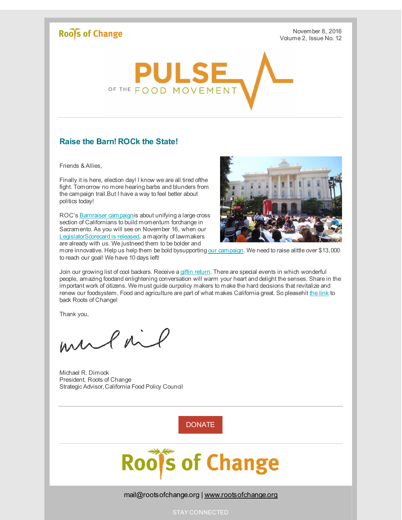## Roof's of Change

November 8, 2016 Volume 2, Issue No. 12



## **Raise the Barn! ROCk the State!**

Friends & Allies,

Finally it is here, election day! I know we are all tired ofthe fight. Tomorrow no more hearing barbs and blunders from the campaign trail.But I have a way to feel better about politics today!

ROC's [Barnraiser](http://r20.rs6.net/tn.jsp?f=001WI5X-iutkTtspUCjGgGd4BC8_lQh6iKGK6VGBQXARH0FcF0fF89jA_KgAj5QVpOv02ZDuu1aIuuR4C4cWE2e9hdIrrQa9Km_Hhfhy4t5_uVHir7zCc0lyvJSlVkOYGyswZs-z0KQseHxa9eMuR2sWw==&c=&ch=) campaignis about unifying a large cross section of Californians to build momentum forchange in Sacramento. As you will see on November 16, when our [LegislatorScorecard](http://r20.rs6.net/tn.jsp?f=001WI5X-iutkTtspUCjGgGd4BC8_lQh6iKGK6VGBQXARH0FcF0fF89jA71xNYjwKYDwfav3AGWZsWB5ALVSaOukb5xHENX8oGWNPzboXc3v3ZI8RD6o_xkjOJBGJk8fdAPZ8eayzFLKvPXiBX29FpyXAenvAdNAD92smAm7tqtn0UcMrzEyMSubvlSxsKwZpHU9PvH-0ZCmMoK1lvkOyOQ4SVpR9erqsMQ7&c=&ch=) is released, a majority of lawmakers are already with us. We justneed them to be bolder and



more innovative. Help us help them be bold bysupporting our [campaign](http://r20.rs6.net/tn.jsp?f=001WI5X-iutkTtspUCjGgGd4BC8_lQh6iKGK6VGBQXARH0FcF0fF89jA_KgAj5QVpOv02ZDuu1aIuuR4C4cWE2e9hdIrrQa9Km_Hhfhy4t5_uVHir7zCc0lyvJSlVkOYGyswZs-z0KQseHxa9eMuR2sWw==&c=&ch=). We need to raise alittle over \$13,000 to reach our goal! We have 10 days left!

Join our growing list of cool backers. Receive a giftin [return](http://r20.rs6.net/tn.jsp?f=001WI5X-iutkTtspUCjGgGd4BC8_lQh6iKGK6VGBQXARH0FcF0fF89jAxNHGHPQq5FPNzS7iTUibzy-V_cHHmak653ZM9XVniWKEr326gIp8WGG0POX11KCTpW_I5l7MG353k0a34ScEyi5yw91MUld1255MJp4kjT7-7wcYfUD_CFwLYYoITt5wfFiK0_o6Ip23IfKTkt9TjciWf20b9Ea_NXaBnGxRqdbiSxCHet8SU8=&c=&ch=). There are special events in which wonderful people, amazing foodand enlightening conversation will warm your heart and delight the senses. Share in the important work of citizens. We must guide ourpolicy makers to make the hard decisions that revitalize and renew our foodsystem. Food and agriculture are part of what makes California great. So pleasehit the [link](http://r20.rs6.net/tn.jsp?f=001WI5X-iutkTtspUCjGgGd4BC8_lQh6iKGK6VGBQXARH0FcF0fF89jA_KgAj5QVpOv02ZDuu1aIuuR4C4cWE2e9hdIrrQa9Km_Hhfhy4t5_uVHir7zCc0lyvJSlVkOYGyswZs-z0KQseHxa9eMuR2sWw==&c=&ch=) to back Roots of Change!

Thank you,

mulail

Michael R. Dimock President, Roots of Change Strategic Advisor,California Food Policy Council

[DONATE](http://r20.rs6.net/tn.jsp?f=001WI5X-iutkTtspUCjGgGd4BC8_lQh6iKGK6VGBQXARH0FcF0fF89jA9pDBGZw6sIKqP31wYM8-yD3WheU7y5D2rmp3JMZGvz7aIJTrgIWaluTsq2jibu4Va-i2yBWNK-4AIm5Zns1zKNtplOIXcWK-NQYOTVxujij2wy8VVzT59iokrHchdptdWibtZnVBYTivOdl2i1h8vI4a7LCzihZEQNcC1Qy1FPx&c=&ch=)



mail@rootsofchange.org | [www.rootsofchange.org](http://r20.rs6.net/tn.jsp?f=001WI5X-iutkTtspUCjGgGd4BC8_lQh6iKGK6VGBQXARH0FcF0fF89jAyzuULYiZcmB3w4NcDhTRgo6pLX3b3f0dRqsrTdBMkKtqFabf0uIarZMZBvDN1XyqfeZK65URQJElAMOMp3BkqsaMYFaMnBv6hvlOJbpSmG9&c=&ch=)

STAY CONNECTED